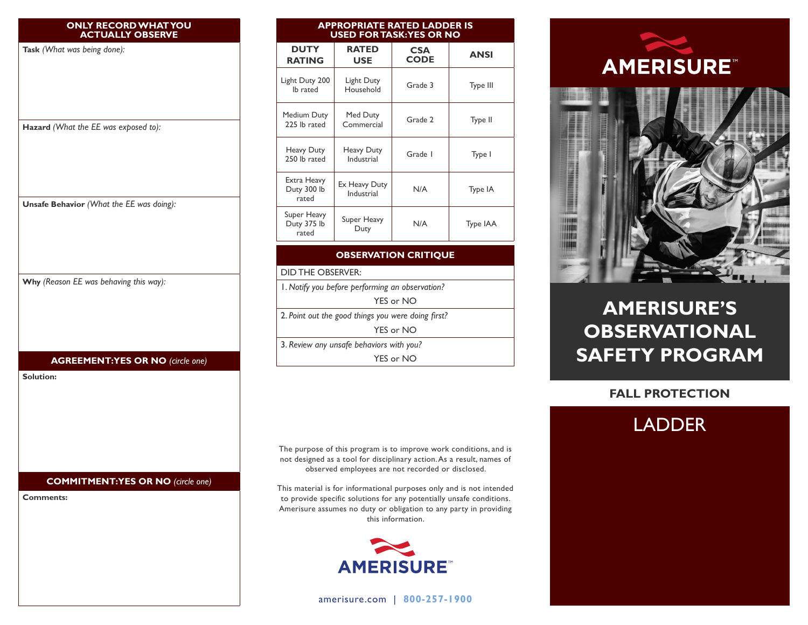|                  | <b>ONLY RECORD WHAT YOU</b><br><b>ACTUALLY OBSERVE</b> |
|------------------|--------------------------------------------------------|
|                  | Task (What was being done):                            |
|                  |                                                        |
|                  |                                                        |
|                  |                                                        |
|                  | Hazard (What the EE was exposed to):                   |
|                  |                                                        |
|                  |                                                        |
|                  |                                                        |
|                  |                                                        |
|                  | Unsafe Behavior (What the EE was doing):               |
|                  |                                                        |
|                  |                                                        |
|                  |                                                        |
|                  | Why (Reason EE was behaving this way):                 |
|                  |                                                        |
|                  |                                                        |
|                  |                                                        |
|                  | <b>AGREEMENT:YES OR NO (circle one)</b>                |
| <b>Solution:</b> |                                                        |
|                  |                                                        |
|                  |                                                        |
|                  |                                                        |
|                  |                                                        |
|                  |                                                        |
|                  | <b>COMMITMENT:YES OR NO (circle one)</b>               |
| <b>Comments:</b> |                                                        |
|                  |                                                        |
|                  |                                                        |
|                  |                                                        |
|                  |                                                        |

| <b>DUTY</b><br><b>RATING</b>                       | <b>RATED</b><br><b>USE</b>  | <b>CSA</b><br><b>CODE</b> | <b>ANSI</b> |  |  |
|----------------------------------------------------|-----------------------------|---------------------------|-------------|--|--|
| Light Duty 200<br>lb rated                         | Light Duty<br>Household     | Grade 3                   | Type III    |  |  |
| Medium Duty<br>225 lb rated                        | Med Duty<br>Commercial      | Grade 2                   | Type II     |  |  |
| Heavy Duty<br>250 lb rated                         | Heavy Duty<br>Industrial    | Grade I                   | Type I      |  |  |
| Extra Heavy<br>Duty 300 lb<br>rated                | Ex Heavy Duty<br>Industrial | N/A                       | Type IA     |  |  |
| Super Heavy<br>Duty 375 lb<br>rated                | Super Heavy<br>Duty         | N/A                       | Type IAA    |  |  |
| <b>OBSERVATION CRITIQUE</b>                        |                             |                           |             |  |  |
| <b>DID THE OBSERVER:</b>                           |                             |                           |             |  |  |
| I. Notify you before performing an observation?    |                             |                           |             |  |  |
| YES or NO                                          |                             |                           |             |  |  |
| 2. Point out the good things you were doing first? |                             |                           |             |  |  |
| YES or NO                                          |                             |                           |             |  |  |
| 3. Review any unsafe behaviors with you?           |                             |                           |             |  |  |

**APPROPRIATE RATED LADDER IS USED FOR TASK: YES OR NO**

The purpose of this program is to improve work conditions, and is not designed as a tool for disciplinary action. As a result, names of

YES or NO

observed employees are not recorded or disclosed.

This material is for informational purposes only and is not intended to provide specific solutions for any potentially unsafe conditions. Amerisure assumes no duty or obligation to any party in providing this information.



[amerisure.com](http://www.amerisure.com) | **800-257-1900**





# **AMERISURE'S OBSERVATIONAL SAFETY PROGRAM**

## **FALL PROTECTION**